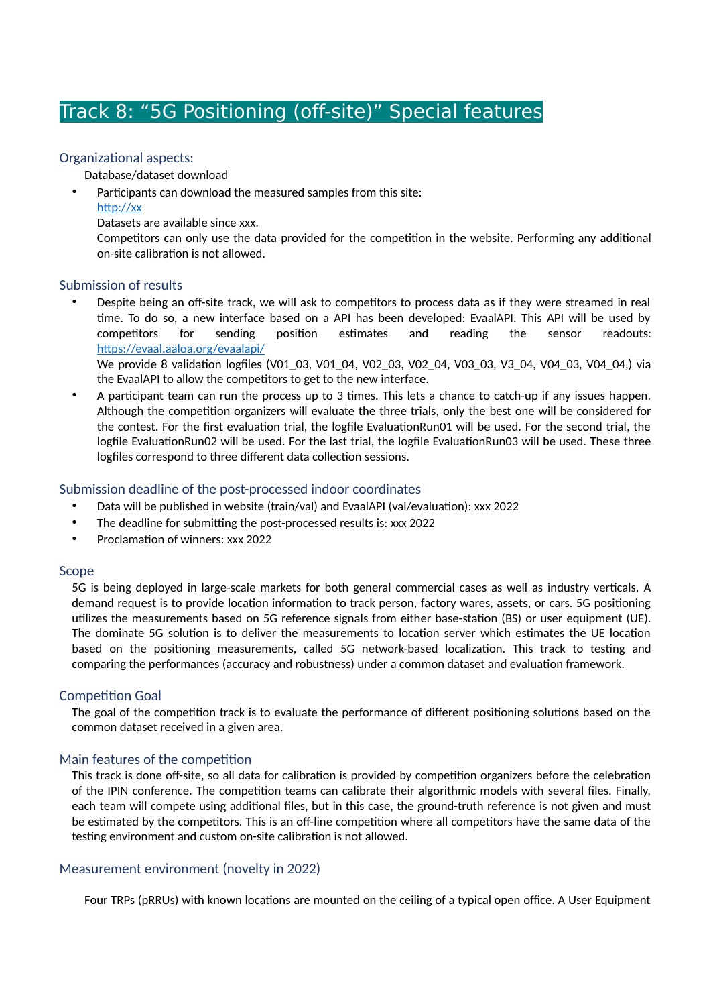# Track 8: "5G Positioning (off-site)" Special features

# Organizational aspects:

Database/dataset download

- Participants can download the measured samples from this site:
	- http://xx

Datasets are available since xxx.

Competitors can only use the data provided for the competition in the website. Performing any additional on-site calibration is not allowed.

# Submission of results

Despite being an off-site track, we will ask to competitors to process data as if they were streamed in real time. To do so, a new interface based on a API has been developed: EvaalAPI. This API will be used by competitors for sending position estimates and reading the sensor readouts: https://evaal.aaloa.org/evaalapi/

We provide 8 validation logfiles (V01\_03, V01\_04, V02\_03, V02\_04, V03\_03, V3\_04, V04\_03, V04\_04,) via the EvaalAPI to allow the competitors to get to the new interface.

A participant team can run the process up to 3 times. This lets a chance to catch-up if any issues happen. Although the competition organizers will evaluate the three trials, only the best one will be considered for the contest. For the first evaluation trial, the logfile EvaluationRun01 will be used. For the second trial, the logfile EvaluationRun02 will be used. For the last trial, the logfile EvaluationRun03 will be used. These three logfiles correspond to three different data collection sessions.

# Submission deadline of the post-processed indoor coordinates

- Data will be published in website (train/val) and EvaalAPI (val/evaluation): xxx 2022
- The deadline for submitting the post-processed results is: xxx 2022
- Proclamation of winners: xxx 2022

#### Scope

5G is being deployed in large-scale markets for both general commercial cases as well as industry verticals. A demand request is to provide location information to track person, factory wares, assets, or cars. 5G positioning utilizes the measurements based on 5G reference signals from either base-station (BS) or user equipment (UE). The dominate 5G solution is to deliver the measurements to location server which estimates the UE location based on the positioning measurements, called 5G network-based localization. This track to testing and comparing the performances (accuracy and robustness) under a common dataset and evaluation framework.

# Competition Goal

The goal of the competition track is to evaluate the performance of different positioning solutions based on the common dataset received in a given area.

# Main features of the competition

This track is done off-site, so all data for calibration is provided by competition organizers before the celebration of the IPIN conference. The competition teams can calibrate their algorithmic models with several files. Finally, each team will compete using additional files, but in this case, the ground-truth reference is not given and must be estimated by the competitors. This is an off-line competition where all competitors have the same data of the testing environment and custom on-site calibration is not allowed.

# Measurement environment (novelty in 2022)

Four TRPs (pRRUs) with known locations are mounted on the ceiling of a typical open office. A User Equipment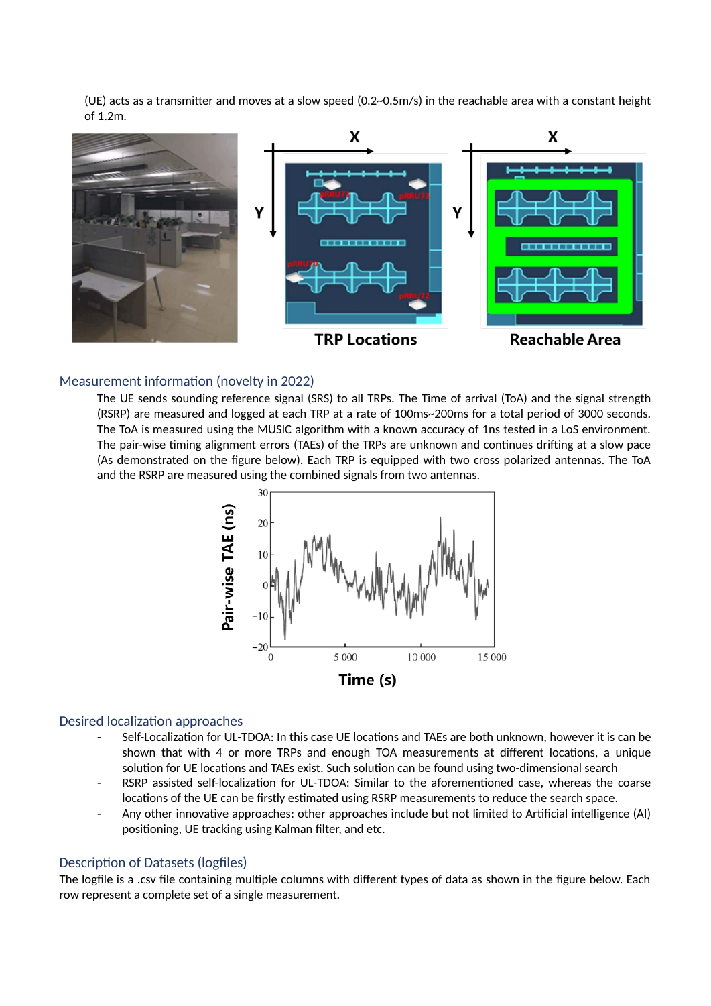(UE) acts as a transmitter and moves at a slow speed (0.2~0.5m/s) in the reachable area with a constant height of 1.2m.



#### Measurement information (novelty in 2022)

The UE sends sounding reference signal (SRS) to all TRPs. The Time of arrival (ToA) and the signal strength (RSRP) are measured and logged at each TRP at a rate of 100ms~200ms for a total period of 3000 seconds. The ToA is measured using the MUSIC algorithm with a known accuracy of 1ns tested in a LoS environment. The pair-wise timing alignment errors (TAEs) of the TRPs are unknown and continues drifting at a slow pace (As demonstrated on the figure below). Each TRP is equipped with two cross polarized antennas. The ToA and the RSRP are measured using the combined signals from two antennas.



#### Desired localization approaches

- Self-Localization for UL-TDOA: In this case UE locations and TAEs are both unknown, however it is can be shown that with 4 or more TRPs and enough TOA measurements at different locations, a unique solution for UE locations and TAEs exist. Such solution can be found using two-dimensional search
- RSRP assisted self-localization for UL-TDOA: Similar to the aforementioned case, whereas the coarse locations of the UE can be firstly estimated using RSRP measurements to reduce the search space.
- Any other innovative approaches: other approaches include but not limited to Artificial intelligence (AI) positioning, UE tracking using Kalman filter, and etc.

#### Description of Datasets (logfiles)

The logfile is a .csv file containing multiple columns with different types of data as shown in the figure below. Each row represent a complete set of a single measurement.